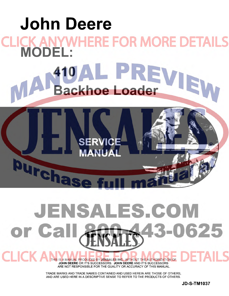# **[John Deere](http://www.jensales.com/products/john-deere-410-industrial-tractor-service-manual.html)  CK ANYWHERE FOR MORE DETAILS**<br>MODEL: **410 Backhoe Loader**

**SERVICE** 

**Purcha** 

**TICK** 

# JENSALES.COM 0625 or Ca 35

THIS IS A MANUAL PRODUCED BY **JENSALES INC.** WITHOUT THE AUTHORIZATION OF **JOHN DEERE** OR IT'S SUCCESSORS. **JOHN DEERE** AND IT'S SUCCESSORS ARE NOT RESPONSIBLE FOR THE QUALITY OR ACCURACY OF THIS MANUAL.

TRADE MARKS AND TRADE NAMES CONTAINED AND USED HEREIN ARE THOSE OF OTHERS, AND ARE USED HERE IN A DESCRIPTIVE SENSE TO REFER TO THE PRODUCTS OF OTHERS.

**JD-S-TM1037**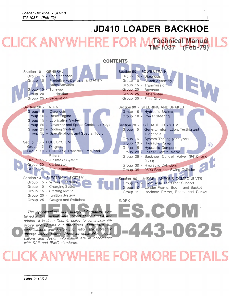# **[JD410 LOADER BACKHOE](http://www.jensales.com/products/john-deere-410-industrial-tractor-service-manual.html)**

-443-0625

**ICK ANYWHERE F Technical Manual TM-1037 (Feb-79)** 

**CONTENTS**  Section 50 - POWER TRAIN Section 10 - GENERAL Group 5 - Specifications Group 5 - Diagnosis Group 10 - Predelivery, Delivery, and After Group 10 - Clutch Assembly Sales Services Group 15 - Transmission Group 15 - Tune-up Group 20 - Reverser Group 20 - Lubrication Group 25 - Differential Group 25 - Separation Group 30 - Final Drive Section 20 - ENGINE Section 60 - STEERING AND BRAKES Group 5 - Diagnosis Group 5 - Hydraulic Brakes Group 10 - Basic Engine Group 10 - Power Steering Group 15 - Lubrication System Group 20 - Governor and Speed Control Linkage Section 70 - HYDRAULIC SYSTEM Group 25 - Cooling System Group 5 - General Information, Testing and oup 30 - Specifications and Special Tools **Diagnosis** Group 6 - System Testing (Analyzer) Section 30 - FUEL SYSTEM Group 10 - Hydraulic Pump  $\circledR$ Group 5 - Diagnosis Group 15 - Hydraulic Components Group 10 - Fuel Tank, Transfer Pump, and Group 20 - Loader Control Valve Filters Group 25 - Backhoe Control Valve (9410 and Group 15 - Air Intake System 9500) Group 20 Carburetor Group 30 - Hydraulic Cylinders Group 25 - Fuel Injection Pump Group 35 - 9500 Backhoe Swing Cylinder Section 40 - ELECTRICAL SYSTEM Section 80 - MISCELLANEOUS COMPONENTS Group 5 - Wiring Diagrams Group 5 - Front Axle and Front Support Group 10 - Charging System Group 10 - Loader Frame, Boom, and Bucket Group 15 - Starting Motor Group 15 - Backhoe Frame, Boom, and Bucket Group 20 - Ignition System Group 25 - Gauges and Switches INDEX ES.COI

The specifications and design information contained in this manual were correct at the time it was printed. It is John Deere's policy to continually improve and update our machines. Therefore, the specifications and design information are subject to change without notice. Wherever applicable, specifications and design information are in accordance with SAE and IEMC standards.

# **CK ANYWHERE FOR MORE DE**

Litho in U.S.A.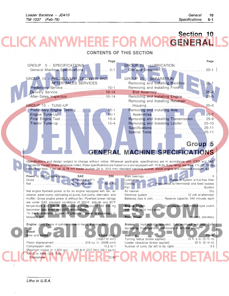#### **Section 10 KANY** s **GENERAL**

#### **CONTENTS OF THIS SECTION**

| Page                                                                                                                                                | Page                                                                                                                                             |
|-----------------------------------------------------------------------------------------------------------------------------------------------------|--------------------------------------------------------------------------------------------------------------------------------------------------|
| GROUP 5 - SPECIFICATIONS                                                                                                                            | <b>GROUP 20 - LUBRICATION</b>                                                                                                                    |
| General Machine Specifications<br>$\ldots 5-1$                                                                                                      | Oils and Greases<br>$20 - 1$                                                                                                                     |
|                                                                                                                                                     |                                                                                                                                                  |
| GROUP 10 - PREDELIVERY, DELIVERY AND                                                                                                                | GROUP 25 - SEPARATION                                                                                                                            |
| AFTER-SALES SERVICES                                                                                                                                | $25 - 1$<br>Removing and Installing Backhoe                                                                                                      |
|                                                                                                                                                     | Removing and Installing Front                                                                                                                    |
| Delivery Service 10-14                                                                                                                              | $25 - 4$<br>End Assembly                                                                                                                         |
|                                                                                                                                                     | Removing and Installing Engine<br>$25 - 5$                                                                                                       |
|                                                                                                                                                     |                                                                                                                                                  |
| GROUP 15 - TUNE-UP                                                                                                                                  | Removing and Installing Reverser                                                                                                                 |
|                                                                                                                                                     |                                                                                                                                                  |
| Preliminary Engine Testing  15-1                                                                                                                    | Removing and Installing Axle<br>$.25 - 7$                                                                                                        |
|                                                                                                                                                     |                                                                                                                                                  |
|                                                                                                                                                     | Removing and Installing Transmission  25-9                                                                                                       |
|                                                                                                                                                     | Removing and Installing Loader<br>$25 - 10$                                                                                                      |
|                                                                                                                                                     | $25 - 11$                                                                                                                                        |
|                                                                                                                                                     | $25 - 11$                                                                                                                                        |
|                                                                                                                                                     |                                                                                                                                                  |
|                                                                                                                                                     | Group <sub>5</sub>                                                                                                                               |
|                                                                                                                                                     |                                                                                                                                                  |
|                                                                                                                                                     | <b>GENERAL MACHINE SPECIFICATIONS</b>                                                                                                            |
|                                                                                                                                                     |                                                                                                                                                  |
|                                                                                                                                                     | (Specifications and design subject to change without notice. Wherever applicable, specifications are in accordance with ICED and SAE             |
|                                                                                                                                                     | Standards. Except where otherwise noted, these specifications are based on a unit equipped with 16.9-24, 8 ply rating rear tires; 11L-16, 10 ply |
| rating front tires; 1 cu. yd. (0.76 m <sup>3</sup> ) loader bucket, 24 in. (610 mm) standard backhoe bucket, diesel engine and standard equipment.) |                                                                                                                                                  |
|                                                                                                                                                     |                                                                                                                                                  |
| Power @ 2500 engine rpm):<br><b>SAE</b><br><b>DIN</b>                                                                                               |                                                                                                                                                  |
| 65.9 PS                                                                                                                                             | Lubrication  Pressure system w/full-flow filter<br>Cooling Pressurized w/thermostat and fixed bypass                                             |
|                                                                                                                                                     |                                                                                                                                                  |
| Net engine flywheel power is for an engine equipped with fan, air                                                                                   |                                                                                                                                                  |
| cleaner, water pump, lubricating oil pump, fuel pump, alternator, and                                                                               |                                                                                                                                                  |
| muffler. Gross engine power is without fan. Flywheel power ratings                                                                                  | Batteries (two 6 volt) Reserve capacity: 340 minutes each                                                                                        |
| are under SAE standard conditions of 500-ft. altitude and 85°F                                                                                      |                                                                                                                                                  |
| temperature and DIN 70 020 standard conditions of 760 mm Hg                                                                                         | Engine Clutch Foot-operated automotive-type clutch                                                                                               |
| barometer (sea level) and 20°C temperature.<br>*In the International System of Units (SI), power is expressed in                                    | with 10 in. (254 mm) plate                                                                                                                       |
| kilowatts (kW).                                                                                                                                     | <b>Final Drives</b><br>. Inboard, planetary                                                                                                      |
|                                                                                                                                                     |                                                                                                                                                  |
| Engine: John Deere 4-cylinder valve-in-head, 4-stroke cycle                                                                                         | Brakes Hydraulically actuated, fully enclosed wet-disk. Self-                                                                                    |
|                                                                                                                                                     | equalizing. Foot-operated individually or simultaneously.                                                                                        |
| <b>Diesel</b><br>Bore and stroke.                                                                                                                   | . Power                                                                                                                                          |
| $4.02x4.33$ in.<br>$(102x110$ mm)                                                                                                                   | Steering.                                                                                                                                        |
| Piston displacement  219 cu. in. (3588 cm3)                                                                                                         |                                                                                                                                                  |
|                                                                                                                                                     | Number of turns (far left to far right)3.3                                                                                                       |
| Maximum torque @ 1,300 rpm 160 lb-ft (217 Nm) (22.1 kg-m)                                                                                           |                                                                                                                                                  |
| NACC or AMA (U.S. Tax)                                                                                                                              |                                                                                                                                                  |
| 25.65<br>horsepower                                                                                                                                 |                                                                                                                                                  |

 $\sqrt{2}$ 

 $\alpha$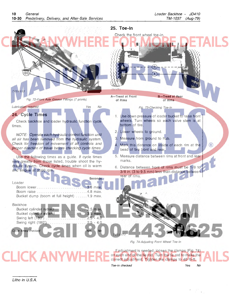

Toe-in checked Yes *NO*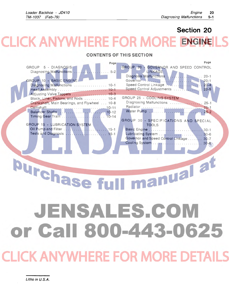Page

# **Section 20 CK ANYWHERE FOR M ENGINE**

### **CONTENTS OF THIS SECTION**

| Page                                         | Page                                    |
|----------------------------------------------|-----------------------------------------|
| GROUP 5 - DIAGNOSIS                          | GROUP 20 - GOVERNOR AND SPEED CONTROL   |
|                                              | LINKAGE                                 |
|                                              | Diagnosis Malfunctions  20-1            |
| GROUP 10 - BASIC ENGINE                      |                                         |
|                                              | Speed Control Linkage  20-4             |
|                                              | Speed Control Adjustments  20-5         |
|                                              |                                         |
| Block, Liner, Pistons, and Rods  10-4        | GROUP 25 - COOLING SYSTEM               |
| Crankshaft, Main Bearings, and Flywheel 10-8 | Diagnosing Malfunctions  25-1           |
|                                              |                                         |
|                                              |                                         |
|                                              |                                         |
|                                              | GROUP 30 - SPECIFICATIONS AND SPECIAL   |
| GROUP 15 - LUBRICATION SYSTEM                | <b>TOOLS</b>                            |
|                                              |                                         |
|                                              |                                         |
|                                              | Governor and Speed Control Linkage 30-7 |
|                                              |                                         |
|                                              |                                         |

manual at **Purchase fu** JENSALES.COM or Call 800-443-0625

LICK ANYWHERE FOR MORE DE'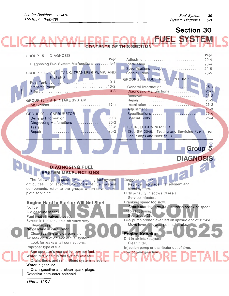$\sqrt{2}$ 

# Section 30

**FUEL SYSTEM CONTENTS OF THIS SECTION** 

| GROUP 5 - DIAGNOSIS                                                                                                                         | Page                                                                              |  |
|---------------------------------------------------------------------------------------------------------------------------------------------|-----------------------------------------------------------------------------------|--|
| Page                                                                                                                                        |                                                                                   |  |
| Diagnosing Fuel System Malfunctions  5-1                                                                                                    |                                                                                   |  |
| GROUP 10 - FUEL TANK, TRANSFER PUMP, AND                                                                                                    |                                                                                   |  |
| <b>FILTERS</b>                                                                                                                              | GROUP 25 - FUEL INJECTION PUMP                                                    |  |
|                                                                                                                                             |                                                                                   |  |
|                                                                                                                                             | $.25 - 1$                                                                         |  |
|                                                                                                                                             | Diagnosing Malfunctions  25-1                                                     |  |
| GROUP 15 - AIR INTAKE SYSTEM                                                                                                                |                                                                                   |  |
|                                                                                                                                             |                                                                                   |  |
|                                                                                                                                             |                                                                                   |  |
| GROUP 20 - CARBURETOR                                                                                                                       |                                                                                   |  |
|                                                                                                                                             |                                                                                   |  |
| Diagnosing Malfunctions  20-2                                                                                                               |                                                                                   |  |
|                                                                                                                                             | <b>FUEL INJECTION NOZZLES</b><br>(See SM-2045, "Testing and Servicing Fuel Injec- |  |
|                                                                                                                                             | tion Pumps and Nozzles.")                                                         |  |
|                                                                                                                                             |                                                                                   |  |
|                                                                                                                                             | Group 5                                                                           |  |
|                                                                                                                                             |                                                                                   |  |
|                                                                                                                                             | <b>DIAGNOSIS</b>                                                                  |  |
|                                                                                                                                             |                                                                                   |  |
| <b>DIAGNOSING FUEL</b>                                                                                                                      |                                                                                   |  |
| <b>SYSTEM MALFUNCTIONS</b>                                                                                                                  |                                                                                   |  |
| The following is a guide for diagnosing fuel system                                                                                         | Clogged fuel filter (diesel)                                                      |  |
| difficulties. For specific diagnosis of fuel system                                                                                         | Replace first-stage filter element and                                            |  |
| components, refer to the groups which cover com-                                                                                            | bleed system.                                                                     |  |
| plete servicing.                                                                                                                            | Dirty or faulty injectors (diesel).<br>Service injectors.                         |  |
| <b>Engine Hard to Start or Will Not Start</b>                                                                                               | Cranking speed too slow.                                                          |  |
| No fuel.                                                                                                                                    | Check starting circuit to increase cranking speed.                                |  |
| Old gasoline in tank.                                                                                                                       | Incorrect timing.                                                                 |  |
| Fuel shut off valves closed.                                                                                                                | See Group 25.                                                                     |  |
| Screen in fuel tank shut-off vlave dirty.                                                                                                   | Fuel pump primer lever left on upward end of stroke.                              |  |
| Clean screen.<br>No gasoline in carburetor.                                                                                                 | Move lever to lowest point of stroke.                                             |  |
| Clean fuel line and carburetor.                                                                                                             | <b>Engine Knocks</b>                                                              |  |
| Air leak on suction side of fuel system.                                                                                                    | Dirt in air intake system.                                                        |  |
| Look for leaks at all connections.                                                                                                          | Clean filter.                                                                     |  |
| Improper type of fuel.                                                                                                                      | Injection pump or distributor out of time.                                        |  |
| See operator's manual for correct fuel.<br>Water, dirt, or air in fuel system (diesel).<br>Drain, flush, and refill. Bleed system (diesel). | Low octane gasoline.                                                              |  |
| Water in gasoline.                                                                                                                          |                                                                                   |  |
| Drain gasoline and clean spark plugs.                                                                                                       |                                                                                   |  |
| Defective carburetor solenoid.                                                                                                              |                                                                                   |  |
| Litho in U.S.A.                                                                                                                             |                                                                                   |  |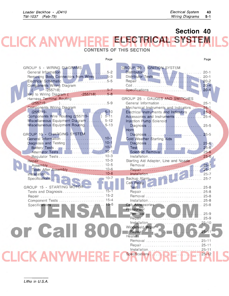# **Section 40 [ELECTRICAL SYSTEM](http://www.jensales.com/products/john-deere-410-industrial-tractor-service-manual.html)  CONTENTS OF THIS SECTION**

| Page                                                                                                                                                                                                       |                                                                            | Page                                |
|------------------------------------------------------------------------------------------------------------------------------------------------------------------------------------------------------------|----------------------------------------------------------------------------|-------------------------------------|
| GROUP 5 - WIRING DIAGRAMS<br>Removing Body Connectors from Wires 5-3<br>Electrical Schematic 5-5<br><b>Components Wiring Diagram</b><br>$-255718)$ 5-7<br>$\sqrt{2}$<br>Key to Wiring Diagram (255718) 5-8 | GROUP 20 - IGNITION SYSTEM<br>Specifications                               | $20 - 4$                            |
| Harness Terminal Routing                                                                                                                                                                                   | GROUP 25 - GAUGES AND SWITCHES                                             |                                     |
| $(255719 -$<br>)5-9                                                                                                                                                                                        |                                                                            |                                     |
| <b>Components Wiring Diagram</b>                                                                                                                                                                           | Mechanical Instruments and Indicators  25-1                                |                                     |
| $5 - 10$<br>$(255719 - )$                                                                                                                                                                                  | Electrical Instruments and Indicators  25-3                                |                                     |
| Components Wire Routing (255719-19) 5-11                                                                                                                                                                   | Accessories and Instruments  25-4                                          |                                     |
| Miscellaneous Equipment Diagram  5-12                                                                                                                                                                      | Injection Pump Solenoid                                                    |                                     |
| Miscellaneous Equipment Routing 5-13                                                                                                                                                                       |                                                                            |                                     |
|                                                                                                                                                                                                            | Horn                                                                       |                                     |
| GROUP 10 - CHARGING SYSTEM                                                                                                                                                                                 |                                                                            |                                     |
| General Information  10-1                                                                                                                                                                                  | Cold Weather Starting Aids                                                 |                                     |
|                                                                                                                                                                                                            |                                                                            |                                     |
|                                                                                                                                                                                                            |                                                                            |                                     |
|                                                                                                                                                                                                            |                                                                            |                                     |
|                                                                                                                                                                                                            | Starting Aid Adapter, Line and Nozzle                                      |                                     |
|                                                                                                                                                                                                            |                                                                            |                                     |
| Tests After Assembly  10-6                                                                                                                                                                                 |                                                                            |                                     |
|                                                                                                                                                                                                            |                                                                            |                                     |
|                                                                                                                                                                                                            |                                                                            |                                     |
|                                                                                                                                                                                                            | Cab Relay                                                                  |                                     |
| GROUP 15 - STARTING MOTOR                                                                                                                                                                                  |                                                                            |                                     |
| $15 - 1$<br>Tests and Diagnosis                                                                                                                                                                            | Repair  25-8                                                               |                                     |
|                                                                                                                                                                                                            |                                                                            |                                     |
|                                                                                                                                                                                                            |                                                                            |                                     |
|                                                                                                                                                                                                            |                                                                            |                                     |
|                                                                                                                                                                                                            | Pressurizer                                                                |                                     |
|                                                                                                                                                                                                            | Installation 25-10<br><b>Kara</b><br>Windshield Wiper-<br>Repair<br>Heater | $25 - 1$                            |
|                                                                                                                                                                                                            | Removal<br>Repair<br>Installation                                          | $25 - 11$<br>$25 - 11$<br>$25 - 11$ |
|                                                                                                                                                                                                            | Specifications                                                             | $25 - 12$                           |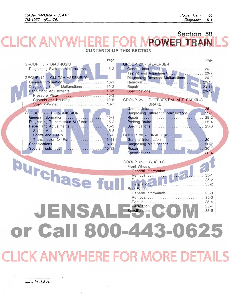### **Section 50**  CK ANY **[POWER TRAIN](http://www.jensales.com/products/john-deere-410-industrial-tractor-service-manual.html)  CONTENTS OF THIS SECTION**

| Page                                          |                                                                                                                                                                                                                                   | Page          |
|-----------------------------------------------|-----------------------------------------------------------------------------------------------------------------------------------------------------------------------------------------------------------------------------------|---------------|
| GROUP 5 - DIAGNOSIS                           | GROUP 20 - REVERSER                                                                                                                                                                                                               |               |
| Diagnosing Systems Malfunctions<br>$. .5 - 2$ | General Information  20-1                                                                                                                                                                                                         |               |
|                                               | Testing and Adjustment  20-7                                                                                                                                                                                                      |               |
| GROUP 10 - CLUTCH ASSEMBLY                    | Diagnosing Reverser Malfunctions  20-9                                                                                                                                                                                            |               |
|                                               |                                                                                                                                                                                                                                   | $20 - 10$     |
| Diagnosing Clutch Malfunctions  10-2          |                                                                                                                                                                                                                                   | $20 - 11$     |
| Repair and Adjustments 10-3                   | Specifications                                                                                                                                                                                                                    | $20 - 18$     |
| Pressure Plate  10-3                          | GROUP 25 - DIFFERENTIAL AND PARKING                                                                                                                                                                                               |               |
|                                               | <b>BRAKE</b>                                                                                                                                                                                                                      |               |
|                                               |                                                                                                                                                                                                                                   |               |
| <b>GROUP 15 - TRANSMISSION</b>                | Diagnosing Differential Malfunctions  25-1                                                                                                                                                                                        |               |
|                                               |                                                                                                                                                                                                                                   |               |
| Diagnosing Transmission Malfunctions 15-2     |                                                                                                                                                                                                                                   |               |
| Repair and Adjustments 15-3                   |                                                                                                                                                                                                                                   |               |
|                                               |                                                                                                                                                                                                                                   |               |
|                                               | GROUP 30 - FINAL DRIVE                                                                                                                                                                                                            |               |
| Transmission Oil Pump  15-11                  |                                                                                                                                                                                                                                   |               |
|                                               | Diagnosing Malfunctions  30-1                                                                                                                                                                                                     |               |
|                                               |                                                                                                                                                                                                                                   |               |
|                                               |                                                                                                                                                                                                                                   |               |
|                                               | GROUP 35 - WHEELS                                                                                                                                                                                                                 |               |
| Jurchase,                                     | Front Wheels                                                                                                                                                                                                                      |               |
|                                               | General Information                                                                                                                                                                                                               |               |
|                                               |                                                                                                                                                                                                                                   |               |
|                                               | Removal 35-1<br>Repair 1999 - 1999 - 1999 - 1999 - 1999 - 1999 - 1999 - 1999 - 1999 - 1999 - 1999 - 1999 - 1999 - 1999 - 1999 - 1999 - 1999 - 1999 - 1999 - 1999 - 1999 - 1999 - 1999 - 1999 - 1999 - 1999 - 1999 - 1999 - 1999 - |               |
|                                               | Installation                                                                                                                                                                                                                      |               |
|                                               | <b>Rear Wheels</b>                                                                                                                                                                                                                |               |
|                                               | General Information  35-3                                                                                                                                                                                                         |               |
|                                               | Removal  35-3                                                                                                                                                                                                                     |               |
|                                               |                                                                                                                                                                                                                                   |               |
|                                               | Installation.                                                                                                                                                                                                                     | . 35-4        |
| EN 1574                                       | Specifications                                                                                                                                                                                                                    | $\ldots$ 35-5 |
|                                               |                                                                                                                                                                                                                                   |               |
|                                               |                                                                                                                                                                                                                                   |               |
| or Call 800-443-0625                          |                                                                                                                                                                                                                                   |               |
|                                               |                                                                                                                                                                                                                                   |               |
|                                               |                                                                                                                                                                                                                                   |               |
|                                               |                                                                                                                                                                                                                                   |               |
|                                               |                                                                                                                                                                                                                                   |               |
|                                               |                                                                                                                                                                                                                                   |               |
| <b>LICK ANYWHERE FOR MORE DETAILS</b>         |                                                                                                                                                                                                                                   |               |
|                                               |                                                                                                                                                                                                                                   |               |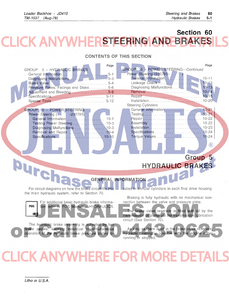#### **Section 60 KANY STEERING AND BRAK**  $\equiv$

#### **CONTENTS OF THIS SECTION**

| Page<br>GROUP 5 - HYDRAULIC BRAKES                                                                                                                            | Page<br>GROUP 10 - POWER STEERING-Continued<br>Power Steering (235785-                                                                                                                      |
|---------------------------------------------------------------------------------------------------------------------------------------------------------------|---------------------------------------------------------------------------------------------------------------------------------------------------------------------------------------------|
| Diagnosing Malfunctions       5-3<br>Pressure Plates, Facings and Disks 5-6                                                                                   | General Information<br>$10 - 11$<br>. . <i>.</i> .<br>$10 - 13$<br>Leakage Check<br>$10 - 13$                                                                                               |
| Adjustment and Bleeding5-9                                                                                                                                    | $10 - 14$<br>$10 - 15$                                                                                                                                                                      |
| GROUP 10 - POWER STEERING                                                                                                                                     | <b>Steering Cylinders</b><br>General Information  10-21                                                                                                                                     |
| Power Steering (<br>$-235785$<br>General Information<br>$10-1$<br>Testing Power Steering  10-3                                                                |                                                                                                                                                                                             |
| Removal and Repair  10-4<br>Specifications<br>$10-10$                                                                                                         | $\left( \mathsf{R}\right)$                                                                                                                                                                  |
|                                                                                                                                                               |                                                                                                                                                                                             |
|                                                                                                                                                               | Group 5<br><b>HYDRAULIC BRAKES</b>                                                                                                                                                          |
|                                                                                                                                                               |                                                                                                                                                                                             |
| <b>Urchas</b>                                                                                                                                                 | <b>GENERAL INFORMATION</b><br>For circuit diagrams on how the brake circuit fits into <b>the cated in annular cylinders in each final drive housing.</b>                                    |
| the main hydraulic system, refer to Section 70.                                                                                                               | Braking is fully hydraulic with no mechanical con-                                                                                                                                          |
| For additional basic hydraulic brake informa-<br>tion refer to FOS Manual - HYDRAULICS.<br><b>FOS</b>                                                         | nection between the valve and pressure plate.<br>The brake valve reservoir is filled with oil by the<br>transmission oil pump via the transmission lubrication<br>circuit (See Section 70). |
| The hydraulic brake assembly is activated by two<br>brake pedals, allowing individual or simultaneous<br>operation of the hydraulic brake pressure plates lo- | As long as there is oil in the brake valve reservoir,<br>hydraulic braking is possible with the engine either<br>running or stopped.                                                        |

 $\bar{\mathcal{L}}$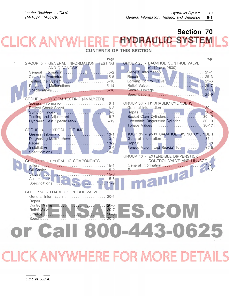## **Section 70**  K ANY **HYDRAULIC SYST**

**CONTENTS OF THIS SECTION** 

|                                                         | Page |                                                         | Page     |
|---------------------------------------------------------|------|---------------------------------------------------------|----------|
| GROUP 5 - GENERAL INFORMATION, TESTING<br>AND DIAGNOSIS |      | GROUP 25 - BACKHOE CONTROL VALVE<br>$(9410$ and $9500)$ |          |
|                                                         |      |                                                         | $25 - 1$ |
| Clean-Up Procedure 5-8                                  |      |                                                         |          |
|                                                         |      |                                                         |          |
| Diagnosing Malfunctions  5-14                           |      |                                                         |          |
|                                                         |      |                                                         |          |
|                                                         |      | Specifications                                          | $25 - 9$ |
| GROUP 6 - SYSTEM TESTING (ANALYZER)                     |      | GROUP 30 - HYDRAULIC CYLINDERS                          |          |
|                                                         |      |                                                         |          |
|                                                         |      | Repair <b>Repair</b> 30-2                               |          |
|                                                         |      |                                                         |          |
| Hydraulic Test Specification  6-19                      |      | Extendible Dipperstick Cylinder  30-13                  |          |
|                                                         |      |                                                         |          |
| GROUP 10 - HYDRAULIC PUMP                               |      |                                                         |          |
| Diagnosing Malfunctions  10-2                           |      | GROUP 35 - 9500 BACKHOE SWING CYLINDER                  |          |
|                                                         |      |                                                         |          |
|                                                         |      | Torque Values and Special Tools  35-5                   |          |
|                                                         |      |                                                         |          |
|                                                         |      | GROUP 40 - EXTENDIBLE DIPPERSTICK                       |          |
| <b>GROUP 15 - HYDRAULIC COMPONENTS</b>                  |      | CONTROL VALVE AND LINKAGE                               |          |
|                                                         |      |                                                         |          |
|                                                         |      | Repair 10 2 10 2 40-2                                   |          |
|                                                         |      |                                                         |          |
|                                                         |      |                                                         |          |
|                                                         |      |                                                         |          |
| GROUP 20 - LOADER CONTROL VALVE                         |      |                                                         |          |
| General Information  20-1                               |      |                                                         |          |
| Repair                                                  |      |                                                         |          |
|                                                         |      |                                                         |          |
|                                                         |      | ES.COM                                                  |          |
|                                                         |      |                                                         |          |
|                                                         |      |                                                         |          |
| or Call 800-443-0625                                    |      |                                                         |          |
|                                                         |      |                                                         |          |
|                                                         |      |                                                         |          |
|                                                         |      |                                                         |          |
|                                                         |      |                                                         |          |
| CLICK ANYWHERE FOR MORE DETAILS                         |      |                                                         |          |
|                                                         |      |                                                         |          |
|                                                         |      |                                                         |          |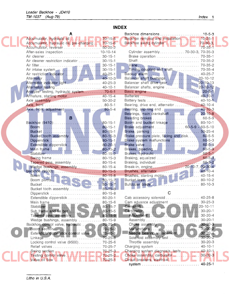### **INDEX**

|                                                                                                                  |               | Backhoe dimensions 10-5-3                                                  |                |
|------------------------------------------------------------------------------------------------------------------|---------------|----------------------------------------------------------------------------|----------------|
|                                                                                                                  |               | Backhoe removal and installation 10-25-1                                   |                |
| Accumulator, hydraulic oil, pre-charging 70-15-6                                                                 |               |                                                                            |                |
|                                                                                                                  |               |                                                                            | $70 - 35 - 1$  |
| After-sales inspection  10-10-14                                                                                 |               | Cylinder assembly 70-30-3, 70-35-3                                         |                |
|                                                                                                                  |               |                                                                            |                |
| Air cleaner restriction indicator  30-15-1                                                                       |               |                                                                            |                |
|                                                                                                                  |               |                                                                            |                |
|                                                                                                                  |               |                                                                            |                |
|                                                                                                                  |               |                                                                            |                |
|                                                                                                                  |               | Balancer shaft bushings 20-10-12                                           |                |
| Alternator indicator light  40-25-3                                                                              |               | Balancer shaft drive gear 20-10-13                                         |                |
|                                                                                                                  |               |                                                                            |                |
| Analyzer testing, hydraulic system 70-6-1<br>Armature, starting motor 40-15-4                                    |               |                                                                            |                |
|                                                                                                                  |               |                                                                            |                |
|                                                                                                                  |               | Bearing, drive end, atternator  40-10-4                                    |                |
| Axle, front, adjustment 80-5-4                                                                                   |               | Bearing, slip ring end  40-10-3                                            |                |
|                                                                                                                  |               | Bearings, main crankshaft  20-10-8                                         |                |
| B                                                                                                                |               |                                                                            |                |
|                                                                                                                  |               | Boom and bucket linkage  80-10-1                                           |                |
|                                                                                                                  |               | Brake adjustment 60-5-9 - 60-5-10                                          |                |
|                                                                                                                  |               | Brake, parking  50-25-4                                                    |                |
| Bucket tooth assembly 80-15-3                                                                                    |               | Brake pressure plate, facing and disk60-5-5                                |                |
| Dipperstick  80-15-1                                                                                             |               | Brake system malfunctions 60-5-3                                           |                |
| Extendible dipperstick 80-20-1                                                                                   |               |                                                                            |                |
|                                                                                                                  |               |                                                                            |                |
|                                                                                                                  |               |                                                                            |                |
|                                                                                                                  |               |                                                                            |                |
| Tapered pins, assembly 80-15-4                                                                                   |               |                                                                            |                |
| Wedge bushings, assembly  80-15-4                                                                                |               |                                                                            |                |
|                                                                                                                  |               | Brushes, alternator (2009) 872-40-10-40-10-40-10-40                        |                |
|                                                                                                                  |               | Brushes, starting motor<br>Bucket teeth<br>Albert Letth<br>Albert 200-10-2 |                |
|                                                                                                                  |               |                                                                            |                |
|                                                                                                                  |               |                                                                            |                |
|                                                                                                                  |               | C                                                                          |                |
| Dipperstick  80-15-8                                                                                             |               | Cab accessory solenoid                                                     | $40 - 25 - 8$  |
| Main frame  80-15-6                                                                                              |               | Cam advance adjustment                                                     | $30 - 25 - 3$  |
|                                                                                                                  |               | Camshaft                                                                   | $20 - 10 - 11$ |
|                                                                                                                  |               |                                                                            | $30 - 20 - 1$  |
|                                                                                                                  |               | Adjustment New York New York New                                           | $30 - 20 - 4$  |
| Wedge bushings, assembly  80-15-9                                                                                |               | Assembly                                                                   | $30 - 20 - 1$  |
| Backhoe control valve, hydraulic 70-25-1                                                                         |               |                                                                            | $30 - 20 - 3$  |
| Boom section                                                                                                     | $70 - 25 - 2$ | Malfunctions                                                               | $30 - 20 - 2$  |
| Extendible dipperstick control valve  70-40-1                                                                    |               | Needle bearing replacement.                                                | $30 - 20 - 4$  |
|                                                                                                                  |               | Solenoid assembly test                                                     | $30 - 20 - 2$  |
| Locking control valve (9500) 70-25-6                                                                             |               | Throttle assembly  30-20-3                                                 |                |
|                                                                                                                  |               | Charging system  40-10-1                                                   |                |
| Swing section<br>Testing control valve $\frac{1}{2}$ / $\frac{1}{2}$ = $\frac{1}{2}$ = $\frac{70-25-3}{70-25-2}$ |               | Charging system diagnosis, tests 40-10-1                                   |                |
|                                                                                                                  |               | Choke assembly, carburetor                                                 | $30 - 20 - 3$  |
| Valve oil flow U.L. M. M. M. M. M. M. 70-25-1                                                                    |               | Circuit breakers, electrical <b>State of Lines</b>                         |                |
|                                                                                                                  |               |                                                                            |                |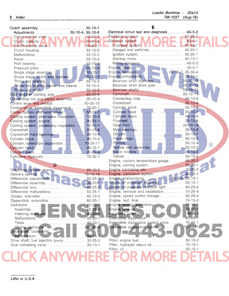| Clutch assembly:  50-10-1                            |               | Е                                            |                |
|------------------------------------------------------|---------------|----------------------------------------------|----------------|
| Adjustments  50-10-4, 50-10-6                        |               | Electrical circuit test and diagnosis 40-5-2 |                |
|                                                      |               |                                              |                |
| Clutch controls $\triangle$ . N.I. Y. VAVI = 50-10-5 |               | Electrical system 40-5-1                     |                |
|                                                      |               | Charging system W.U. M.W. L. 40-10-1         |                |
|                                                      |               | Gauges and switches  40-25-1                 |                |
|                                                      |               |                                              |                |
|                                                      |               | Starting motor 40-15-1                       |                |
|                                                      |               | Wiring diagrams40-5-2                        |                |
|                                                      |               |                                              |                |
| Single stage assembly  50-10-1                       |               |                                              |                |
|                                                      |               |                                              |                |
| Throw-out bearing        50-10-5                     |               | Balancer shaft bushings 20-10-12             |                |
| Throw-out bearing carrier and sleeve  50-10-5        |               | Balancer shaft drive gear  20-10-13          |                |
|                                                      |               |                                              |                |
| Cold weather starting aids 40-25-6                   |               |                                              |                |
| Connecting rod and piston assembly  20-10-4          |               | Connecting rods 20-10-4                      |                |
| Control lever and linkage  50-20-10                  |               |                                              |                |
| Control valve, extendible dipperstick  70-40-1       |               |                                              |                |
| Cooler bypass and relief valves  50-20-2             |               |                                              |                |
| Cooling system, after-sales inspection  10-10-3      |               |                                              |                |
| Cooling system, engine  20-25-1                      |               |                                              |                |
| Cooling system, predelivery inspection 10-10-1       |               |                                              |                |
|                                                      |               |                                              |                |
| Crankshaft main bearings  20-10-8                    |               |                                              |                |
|                                                      |               |                                              |                |
| Cylinder, extendible dipperstick  70-30-11           |               |                                              | $\circledR$    |
|                                                      |               |                                              |                |
|                                                      |               |                                              |                |
| Cylinders, hydraulic  70-30-1                        |               |                                              |                |
|                                                      |               | Engine, coolant temperature gauge 40-25-2    |                |
| D                                                    |               | Engine, cooling system 20-25-1               |                |
| Deglazing cylinder liners  20-10-5                   |               |                                              |                |
|                                                      |               |                                              |                |
|                                                      |               | Engine, malfunctions 20-5-2, 20-10-1         |                |
|                                                      |               | Engine oil pressure, checking 20-15-1        |                |
|                                                      |               | Engine oil pressure indicator light  40-25-3 |                |
| Differential malfunctions  50-25-1                   |               | Engine, removal and installation 10-25-4     |                |
| Diodes, alternator 40-10-5                           |               | Engine, speed control linkage                | $20 - 20 - 4$  |
| Dipperstick, extendible  80-20-1                     |               | Engine, test, final                          | $10 - 15 - 3$  |
|                                                      | $40 - 20 - 1$ |                                              |                |
| Assembly                                             | $40 - 20 - 2$ |                                              | $10 - 15 - 1$  |
|                                                      | $40 - 20 - 3$ |                                              | $.60 - 5 - 3$  |
| Malfunctions                                         | $40 - 20 - 1$ | Extendible dipperstick                       | $80 - 20 - 1$  |
| <b>Tests</b><br>. <u>.</u>                           | $40 - 20 - 1$ | Extendible dipperstick control valve         | $70 - 40 - 1$  |
| Timing distributor                                   | $40 - 20 - 3$ | Extendible dipperstick cylinder              | $70 - 30 - 11$ |
| Drive shaft, collar-shift                            |               |                                              |                |
| transmission                                         | $50 - 15 - 1$ |                                              |                |
| Drive shaft, fuel injection pump  30-25-2            |               |                                              | $30 - 10 - 2$  |
| Dust unloading valve                                 | $30 - 15 - 1$ | Filter, hydraulic return oil                 | $70 - 15 - 1$  |
|                                                      |               | Filter, oil.                                 | $20 - 15 - 1$  |
|                                                      |               |                                              |                |
|                                                      |               |                                              |                |

Loader Backhoe - JD410 TM-1037 (Aug-79)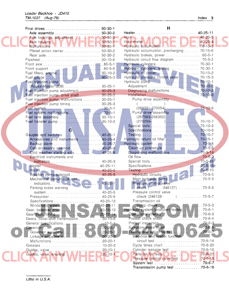#### Loader Backhoe - JD410 TM-1037 (Aug-79)

| Final drives  50-30-1                                                                |               | Н                                                                                                               |               |
|--------------------------------------------------------------------------------------|---------------|-----------------------------------------------------------------------------------------------------------------|---------------|
| Axle assembly  50-30-2                                                               |               | Heater 40-25-11                                                                                                 |               |
| Axle bearings, adjustment<br>Axle housing<br>Malfunctions                            |               | Horn $\ldots$ $\ldots$ $\ldots$ $\ldots$ $\ldots$ $\ldots$ $\ldots$ $\ldots$ $\ldots$ $\ldots$ $\ldots$ 40-25-5 |               |
|                                                                                      |               |                                                                                                                 |               |
|                                                                                      |               | Hydraulic accumulator. New 190-15-5                                                                             |               |
| Planet pinion carrier  50-30-2                                                       |               | Hydraulic accumulator, precharging 70-15-6                                                                      |               |
|                                                                                      |               | Hydraulic brakes, power60-5-1                                                                                   |               |
|                                                                                      |               | Hydraulic circuit flow diagram 70-5-2                                                                           |               |
|                                                                                      |               |                                                                                                                 |               |
|                                                                                      |               | Hydraulic cylinders, testing  70-30-1                                                                           |               |
|                                                                                      |               |                                                                                                                 |               |
|                                                                                      |               | Hydraulic pressure control valve  70-15-3                                                                       |               |
| Fuel injection pump                                                                  |               | Hydraulic pump  I. A.  A.                                                                                       | $70 - 10 - 1$ |
| (Roosa-Master JDB)  30-25-1                                                          |               |                                                                                                                 |               |
| Fuel injection pump adjustment  30-25-3<br>Fuel injection pump, drive shaft  30-25-2 |               |                                                                                                                 |               |
| Fuel injection pump, malfunctions  30-25-1                                           |               | Pump drive assembly                                                                                             |               |
| Fuel injection pump timing 30-25-3                                                   |               | $\sim$                                                                                                          |               |
| Fuel system30-5-1                                                                    |               |                                                                                                                 |               |
| Fuel system malfunctions30-5-1                                                       |               | Pump drive assembly                                                                                             |               |
|                                                                                      |               | $(267583 - 268350)$                                                                                             |               |
|                                                                                      |               | $(270055 -$                                                                                                     |               |
|                                                                                      |               |                                                                                                                 |               |
| G                                                                                    |               |                                                                                                                 |               |
| Gauges and switches                                                                  | $40 - 25 - 1$ |                                                                                                                 |               |
| Accessories and instruments  40-25-4                                                 |               | Hydraulic return oil filter  70-15-1                                                                            |               |
|                                                                                      |               |                                                                                                                 |               |
| Cab accessory solenoid 40-25-8                                                       |               |                                                                                                                 |               |
| Cold weather starting aids 40-25-6                                                   |               |                                                                                                                 |               |
| Electrical instruments and                                                           |               |                                                                                                                 |               |
| indicators 40-25-3                                                                   |               |                                                                                                                 |               |
|                                                                                      |               |                                                                                                                 |               |
|                                                                                      |               |                                                                                                                 |               |
| Injection pump solenoid  40-25-5<br>Mechanical instruments and                       |               |                                                                                                                 |               |
|                                                                                      | 40-25-1       | Pressure control valve                                                                                          |               |
| Parking brake warning                                                                |               | check $(-246127)$ 70-5-6                                                                                        |               |
|                                                                                      |               | Pressure control valve                                                                                          |               |
| Pressurizer  40-25-9                                                                 |               | check (246128-                                                                                                  | $)$ 70-5-7    |
|                                                                                      |               | Transmission oil                                                                                                |               |
|                                                                                      |               |                                                                                                                 |               |
|                                                                                      |               | Hydraulic system (analyzer) testing 1.1.1.1.70-6-1                                                              |               |
|                                                                                      |               |                                                                                                                 |               |
| Gears, collar-shift transmission 50-15-6                                             |               |                                                                                                                 |               |
| General specifications.                                                              | $-10-5-1$     |                                                                                                                 |               |
|                                                                                      | $20 - 20 - 1$ |                                                                                                                 |               |
| Governor assembly 20-20-1                                                            |               |                                                                                                                 |               |
|                                                                                      |               | Backhoe and loader function                                                                                     |               |
|                                                                                      |               |                                                                                                                 |               |
|                                                                                      |               | Cycle times chart  70-6-20                                                                                      |               |
|                                                                                      |               | Cylinder leakage test  70-6-16                                                                                  |               |
|                                                                                      |               |                                                                                                                 |               |
|                                                                                      |               |                                                                                                                 |               |
|                                                                                      |               | Transmission pump test  70-6-16                                                                                 |               |
|                                                                                      |               |                                                                                                                 |               |

Litho in U.S.A.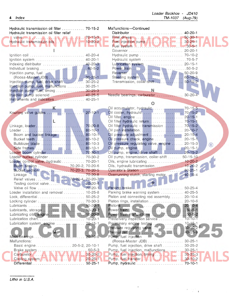| Hydraulic transmission oil filter  70-15-2<br>Hydraulic transmission oil filter relief |                                | Malfunctions-Continued                                              | $40 - 20 - 1$  |
|----------------------------------------------------------------------------------------|--------------------------------|---------------------------------------------------------------------|----------------|
|                                                                                        |                                |                                                                     |                |
| Hydraulic transmission oils NAV 1-10-20-2                                              |                                |                                                                     |                |
|                                                                                        |                                | Fuel system <b>N. P. V. L. V. L. L. L. L.</b> 30-5-1                |                |
|                                                                                        |                                |                                                                     |                |
|                                                                                        |                                | Hydraulic pump  70-10-2                                             |                |
| Ignition system  40-20-1                                                               |                                | Hydraulic system 70-5-7                                             |                |
|                                                                                        |                                | Lubrication system  20-15-1                                         |                |
|                                                                                        |                                |                                                                     |                |
| Injection pump, fuel                                                                   |                                |                                                                     |                |
| Injection pump, fuel, drive shaft 30-25-2                                              |                                | Transmission, collar-shift 50-15-2                                  |                |
| Injection pump, fuel, malfunctions  30-25-1                                            |                                |                                                                     |                |
| Injection pump, fuel, timing  30-25-3                                                  |                                | N.                                                                  |                |
| Injection pump solenoid  40-25-5                                                       |                                | Needle bearings, carburetor  30-20-4                                |                |
| Instruments and indicators 40-25-1                                                     |                                |                                                                     |                |
|                                                                                        |                                | О                                                                   |                |
| к.                                                                                     |                                |                                                                     |                |
| Knurling valve guides                                                                  | $-20-10-1$                     |                                                                     |                |
|                                                                                        |                                |                                                                     |                |
| Ł                                                                                      |                                | Oil filter hydraulic return 70-15-1                                 |                |
|                                                                                        |                                | Oil filter hydraulic - transmission  70-15-2                        |                |
|                                                                                        |                                |                                                                     |                |
| Boom and bucket linkage  80-10-1                                                       |                                | Oil pressure adjustment  20-15-4                                    |                |
|                                                                                        |                                | Oil pressure check, engine  20-15-1                                 |                |
| Buildozer blade  80-10-3                                                               |                                | Oil pressure regulating valve, engine  20-15-3                      | $\circledR$    |
|                                                                                        |                                | Oil pump, engine  20-15-1<br>Oil pump, engine, drive shaft  20-15-2 |                |
| Loader bucket cylinder  70-30-2                                                        |                                | Oil pump, transmission, collar-shift  50-15-10                      |                |
| Loader control valve, hydraulic  70-20-1                                               |                                |                                                                     |                |
| Boom section 70-20-2, 70-20-6                                                          |                                |                                                                     |                |
|                                                                                        |                                |                                                                     |                |
|                                                                                        |                                | Overrunning clutch, starting motor  40-15-4                         |                |
| Relief valves 70-20-4, 70-20-7                                                         |                                |                                                                     |                |
|                                                                                        |                                |                                                                     |                |
|                                                                                        |                                | Parking brake<br>. 50-25-4                                          |                |
| Loader installation and removal  10-25-8                                               |                                | Parking brake warning system $\ldots \ldots \ldots$ 40-25-5         |                |
|                                                                                        |                                | Piston and connecting rod assembly 20-10-4                          |                |
|                                                                                        |                                | Piston rings, installation  20-10-6                                 |                |
|                                                                                        | $10 - 20 - 1$                  |                                                                     |                |
|                                                                                        | $10 - 20 - 2$                  |                                                                     |                |
|                                                                                        | $10 - 20 - 2$<br>$10 - 20 - 1$ | Predelivery inspection service  10-10-1                             |                |
|                                                                                        | $20 - 15 - 1$                  |                                                                     |                |
|                                                                                        |                                |                                                                     | $50 - 20 - 24$ |
|                                                                                        |                                |                                                                     | 40-25-9        |
| Main bearings.                                                                         | 20-10-8                        | Pump, fuel injection                                                |                |
| Malfunctions:                                                                          |                                | (Roosa-Master JDB)  30-25-1                                         |                |
| Basic engine 20-5-2, 20-10-1                                                           |                                | Pump, fuel injection, drive shaft  30-25-2                          |                |
|                                                                                        | $60 - 5 - 3$                   | Pump, fuel injection, malfunctions  30-25-1                         |                |
| Brake system<br>Carburetor A. A. A. IN AVAIA / I                                       | $30 - 20 - 2$                  | Pump, fuel injection, timing . 1. D. 30-25-3                        |                |
|                                                                                        |                                | Pump, fuel transfer NV. NV. NV. NV. NV. 2010-2                      |                |
|                                                                                        |                                |                                                                     |                |

 $\sim$ 

 $\label{eq:2} \begin{array}{c} \mathcal{F}=\{ \frac{1}{2}, \frac{1}{2} \} \\ \mathcal{F}=\frac{1}{2} \end{array}$ 

 $\star$ 

 $\mathcal{A}^{\mathcal{A}}$ 

Litho in U.S.A.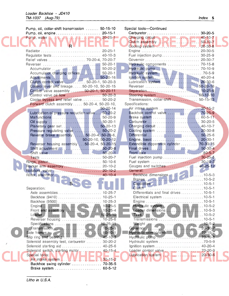$\hat{\boldsymbol{\beta}}$ 

| Pump, oil, collar-shift transmission  50-15-10      |                    | Special tools-Continued                                                                                 |               |
|-----------------------------------------------------|--------------------|---------------------------------------------------------------------------------------------------------|---------------|
| Pump, oil, engine 20-15-1                           |                    |                                                                                                         |               |
| Pump, water N. J.N. A. A. A. L. L. L. R. R. 20-25-1 |                    |                                                                                                         |               |
|                                                     |                    |                                                                                                         |               |
|                                                     |                    |                                                                                                         |               |
|                                                     |                    |                                                                                                         |               |
|                                                     |                    | Fuel injection pump 30-25-9                                                                             |               |
| Relief valves  70-20-4, 70-20-7                     |                    |                                                                                                         |               |
|                                                     |                    | Hydraulic components  70-15-8                                                                           |               |
|                                                     |                    |                                                                                                         |               |
|                                                     |                    |                                                                                                         |               |
| Clutch control valve  50-20-1, 50-20-3              |                    |                                                                                                         |               |
| Control lever and linkage  50-20-10, 50-20-15       |                    |                                                                                                         |               |
| Control valve assembly  50-20-1, 50-20-11           |                    |                                                                                                         |               |
|                                                     |                    |                                                                                                         |               |
| Cooler bypass and relief valve  50-20-2             |                    | Transmission, collar-shift 50-15-13                                                                     |               |
| Forward clutch assembly  50-20-4, 50-20-10,         |                    | Specifications:                                                                                         |               |
|                                                     | $50 - 20 - 14$     |                                                                                                         |               |
| Lubrication oil pressure reduction valve 50-20-2    |                    |                                                                                                         |               |
|                                                     |                    |                                                                                                         |               |
|                                                     |                    |                                                                                                         |               |
| Planetary gear set 50-20-13                         |                    |                                                                                                         |               |
| Pressure regulating valve  50-20-2                  |                    | Cooling system  20-30-8                                                                                 |               |
| Reverse brake assembly  50-20-4, 50-20-6,           |                    |                                                                                                         |               |
|                                                     | 50-20-10, 50-20-12 |                                                                                                         |               |
| Reverser housing assembly  50-20-4, 50-20-15        |                    | Extendible dipperstick cylinder  70-30-15                                                               |               |
|                                                     |                    |                                                                                                         |               |
|                                                     |                    |                                                                                                         |               |
|                                                     |                    | Fuel injection pump 30-25-5                                                                             |               |
|                                                     |                    |                                                                                                         |               |
| Rocker arm assembly  20-10-2                        |                    |                                                                                                         |               |
| Rotators, valve  20-10-2                            |                    | General:                                                                                                |               |
| Rotor, alternator  40-10-4                          |                    | Backhoe dimensions 10-5-3                                                                               |               |
| Nas                                                 |                    |                                                                                                         |               |
| Separation:                                         |                    |                                                                                                         |               |
|                                                     |                    | Differentials and final drives 10-5-1                                                                   |               |
| Backhoe (9410)  10-25-1                             |                    | Electrical system 10-5-1                                                                                |               |
|                                                     |                    |                                                                                                         |               |
|                                                     |                    |                                                                                                         |               |
|                                                     |                    |                                                                                                         |               |
|                                                     |                    | Hydraulic system<br>Loader dimensions<br>Tires                                                          |               |
| Reverser housing                                    | $10 - 25 - 6$      |                                                                                                         |               |
|                                                     |                    | Weight<br>Governor (10-5-2)<br>$\begin{array}{ c c c c c }\hline 10-5-2 & 10-5-2 \\ \hline \end{array}$ |               |
|                                                     |                    |                                                                                                         |               |
|                                                     |                    |                                                                                                         |               |
|                                                     |                    |                                                                                                         |               |
| Solenoid assembly test, carburetor  30-20-2         |                    | Hydraulic system 70-5-9                                                                                 |               |
| Solenoid starting aid  40-25-6                      |                    |                                                                                                         |               |
| Solenoid switch, starting motor 40-15-4             |                    |                                                                                                         |               |
| Special tools:                                      |                    |                                                                                                         | $20 - 30 - 6$ |
|                                                     |                    |                                                                                                         |               |
| Backhoe swing cylinder  70-35-5                     |                    |                                                                                                         |               |
| Brake system  60-5-12                               |                    |                                                                                                         |               |

Litho in U.S.A.

(